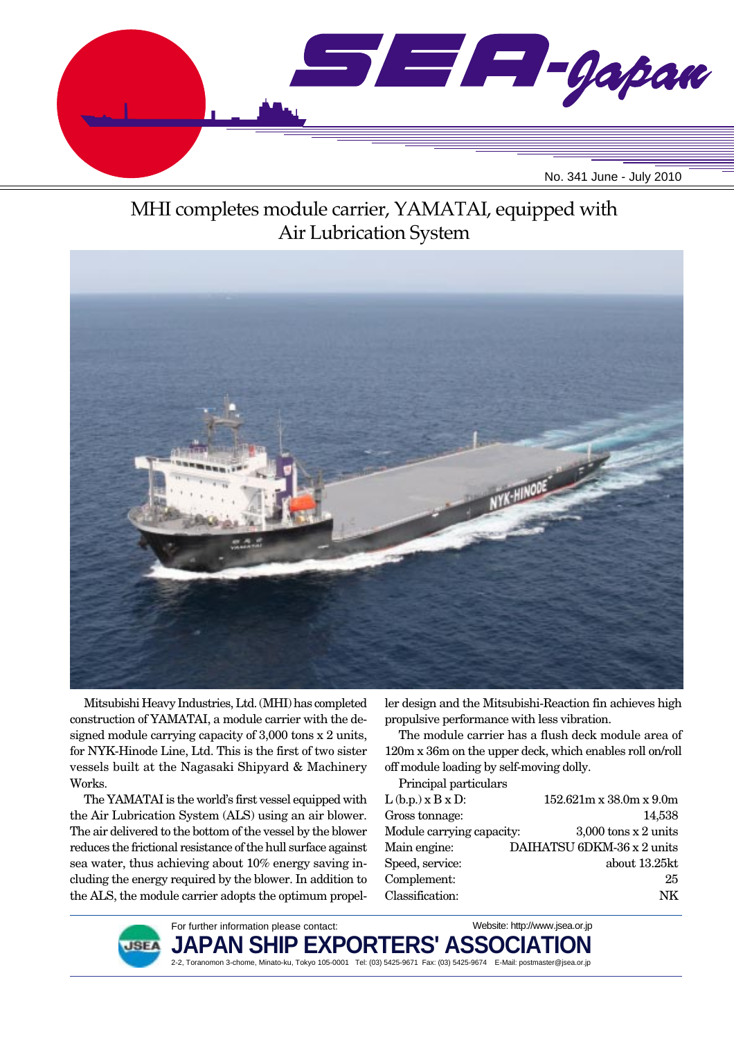

# MHI completes module carrier, YAMATAI, equipped with Air Lubrication System



Mitsubishi Heavy Industries, Ltd. (MHI) has completed construction of YAMATAI, a module carrier with the designed module carrying capacity of 3,000 tons x 2 units, for NYK-Hinode Line, Ltd. This is the first of two sister vessels built at the Nagasaki Shipyard & Machinery Works.

The YAMATAI is the world's first vessel equipped with the Air Lubrication System (ALS) using an air blower. The air delivered to the bottom of the vessel by the blower reduces the frictional resistance of the hull surface against sea water, thus achieving about 10% energy saving including the energy required by the blower. In addition to the ALS, the module carrier adopts the optimum propeller design and the Mitsubishi-Reaction fin achieves high propulsive performance with less vibration.

The module carrier has a flush deck module area of 120m x 36m on the upper deck, which enables roll on/roll off module loading by self-moving dolly.

Principal particulars

| $L(b.p.) \times B \times D$ : | $152.621m \times 38.0m \times 9.0m$ |
|-------------------------------|-------------------------------------|
| Gross tonnage:                | 14,538                              |
| Module carrying capacity:     | $3,000$ tons x 2 units              |
| Main engine:                  | DAIHATSU 6DKM-36 x 2 units          |
| Speed, service:               | about 13.25kt                       |
| Complement:                   | 25                                  |
| Classification:               | NK                                  |
|                               |                                     |



For further information please contact: **JAPAN SHIP EXPORTERS' ASSO** 2-2, Toranomon 3-chome, Minato-ku, Tokyo 105-0001 Tel: (03) 5425-9671 Fax: (03) 5425-9674 E-Mail: postmaster@jsea.or.jp Website: http://www.jsea.or.jp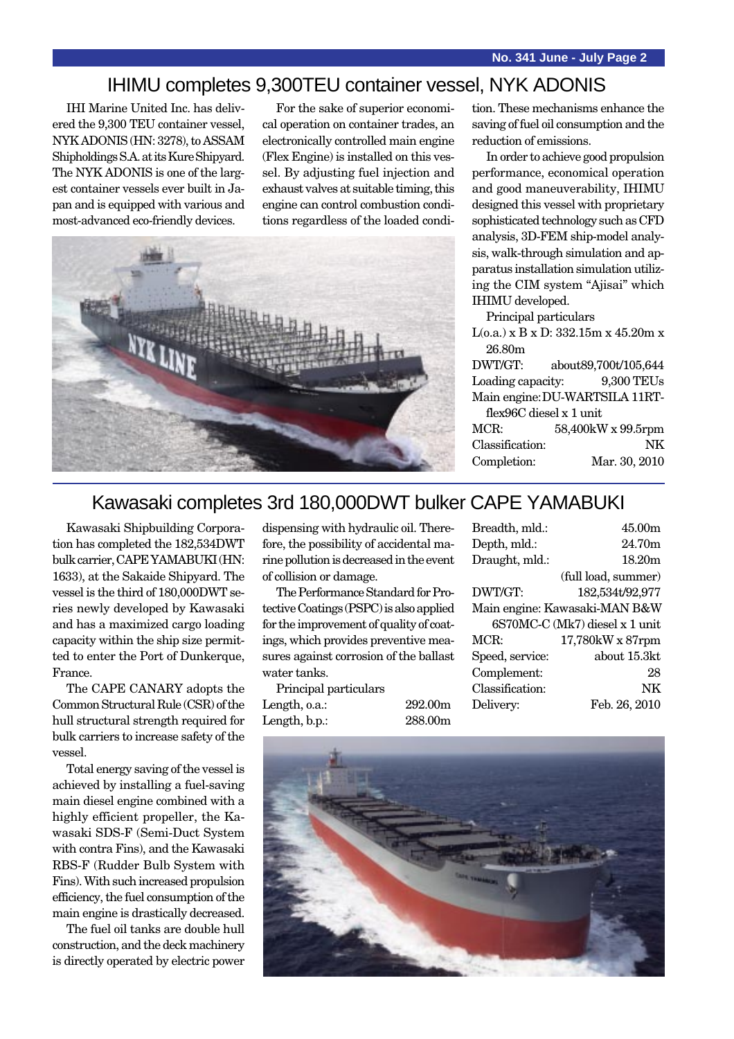### IHIMU completes 9,300TEU container vessel, NYK ADONIS

IHI Marine United Inc. has delivered the 9,300 TEU container vessel, NYK ADONIS (HN: 3278), to ASSAM Shipholdings S.A. at its Kure Shipyard. The NYK ADONIS is one of the largest container vessels ever built in Japan and is equipped with various and most-advanced eco-friendly devices.

For the sake of superior economical operation on container trades, an electronically controlled main engine (Flex Engine) is installed on this vessel. By adjusting fuel injection and exhaust valves at suitable timing, this engine can control combustion conditions regardless of the loaded condi-



tion. These mechanisms enhance the saving of fuel oil consumption and the reduction of emissions.

In order to achieve good propulsion performance, economical operation and good maneuverability, IHIMU designed this vessel with proprietary sophisticated technology such as CFD analysis, 3D-FEM ship-model analysis, walk-through simulation and apparatus installation simulation utilizing the CIM system "Ajisai" which IHIMU developed.

Principal particulars

L(o.a.) x B x D: 332.15m x 45.20m x 26.80m

| DWT/GT:                 | about89,700t/105,644           |
|-------------------------|--------------------------------|
| Loading capacity:       | 9,300 TEUs                     |
|                         | Main engine: DU-WARTSILA 11RT- |
| flex96C diesel x 1 unit |                                |
| MCR:                    | 58,400kW x 99.5rpm             |
| Classification:         | NK                             |
| Completion:             | Mar. 30, 2010                  |

### Kawasaki completes 3rd 180,000DWT bulker CAPE YAMABUKI

Kawasaki Shipbuilding Corporation has completed the 182,534DWT bulk carrier, CAPE YAMABUKI (HN: 1633), at the Sakaide Shipyard. The vessel is the third of 180,000DWT series newly developed by Kawasaki and has a maximized cargo loading capacity within the ship size permitted to enter the Port of Dunkerque, France.

The CAPE CANARY adopts the Common Structural Rule (CSR) of the hull structural strength required for bulk carriers to increase safety of the vessel.

Total energy saving of the vessel is achieved by installing a fuel-saving main diesel engine combined with a highly efficient propeller, the Kawasaki SDS-F (Semi-Duct System with contra Fins), and the Kawasaki RBS-F (Rudder Bulb System with Fins). With such increased propulsion efficiency, the fuel consumption of the main engine is drastically decreased.

The fuel oil tanks are double hull construction, and the deck machinery is directly operated by electric power dispensing with hydraulic oil. Therefore, the possibility of accidental marine pollution is decreased in the event of collision or damage.

The Performance Standard for Protective Coatings (PSPC) is also applied for the improvement of quality of coatings, which provides preventive measures against corrosion of the ballast water tanks.

Principal particulars Length, o.a.: 292.00m Length, b.p.: 288.00m

| Breadth, mld.:  | 45.00m                         |
|-----------------|--------------------------------|
| Depth, mld.:    | 24.70m                         |
| Draught, mld.:  | 18.20m                         |
|                 | (full load, summer)            |
| DWT/GT:         | 182,534t/92,977                |
|                 | Main engine: Kawasaki-MAN B&W  |
|                 | 6S70MC-C (Mk7) diesel x 1 unit |
| MCR:            | 17,780kW x 87rpm               |
| Speed, service: | about 15.3kt                   |
| Complement:     | 28                             |
| Classification: | NK                             |
| Delivery:       | Feb. 26, 2010                  |
|                 |                                |

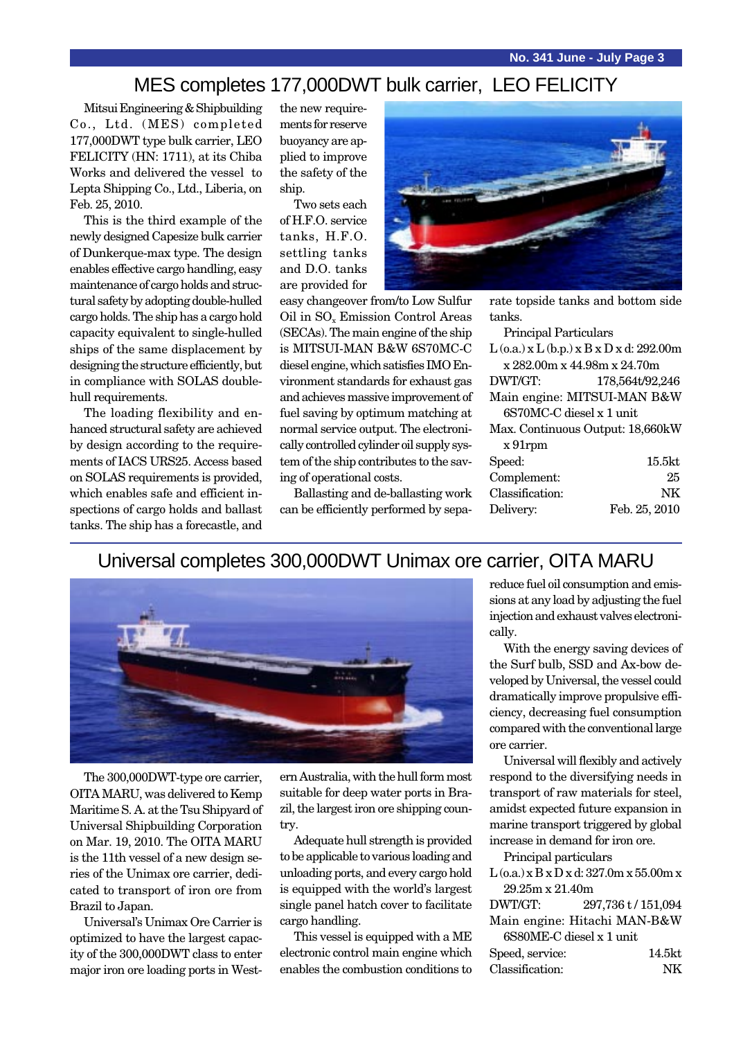### MES completes 177,000DWT bulk carrier, LEO FELICITY

Mitsui Engineering & Shipbuilding Co., Ltd. (MES) completed 177,000DWT type bulk carrier, LEO FELICITY (HN: 1711), at its Chiba Works and delivered the vessel to Lepta Shipping Co., Ltd., Liberia, on Feb. 25, 2010.

This is the third example of the newly designed Capesize bulk carrier of Dunkerque-max type. The design enables effective cargo handling, easy maintenance of cargo holds and structural safety by adopting double-hulled cargo holds. The ship has a cargo hold capacity equivalent to single-hulled ships of the same displacement by designing the structure efficiently, but in compliance with SOLAS doublehull requirements.

The loading flexibility and enhanced structural safety are achieved by design according to the requirements of IACS URS25. Access based on SOLAS requirements is provided, which enables safe and efficient inspections of cargo holds and ballast tanks. The ship has a forecastle, and the new requirements for reserve buoyancy are applied to improve the safety of the ship.

Two sets each of H.F.O. service tanks, H.F.O. settling tanks and D.O. tanks are provided for



easy changeover from/to Low Sulfur Oil in SO<sub>x</sub> Emission Control Areas (SECAs). The main engine of the ship is MITSUI-MAN B&W 6S70MC-C diesel engine, which satisfies IMO Environment standards for exhaust gas and achieves massive improvement of fuel saving by optimum matching at normal service output. The electronically controlled cylinder oil supply system of the ship contributes to the saving of operational costs.

Ballasting and de-ballasting work can be efficiently performed by separate topside tanks and bottom side tanks.

| <b>Principal Particulars</b>                     |                 |
|--------------------------------------------------|-----------------|
| $L$ (o.a.) x $L$ (b.p.) x $B$ x $D$ x d: 292.00m |                 |
| x 282.00m x 44.98m x 24.70m                      |                 |
| DWT/GT:                                          | 178,564t/92,246 |
| Main engine: MITSUI-MAN B&W                      |                 |
| 6S70MC-C diesel x 1 unit                         |                 |
| Max. Continuous Output: 18,660kW                 |                 |
| $x 91$ rpm                                       |                 |
| Speed:                                           | 15.5kt          |
| Complement:                                      | 25              |
| Classification:                                  | NK              |
| Delivery:                                        | Feb. 25, 2010   |
|                                                  |                 |

#### Universal completes 300,000DWT Unimax ore carrier, OITA MARU



The 300,000DWT-type ore carrier, OITA MARU, was delivered to Kemp Maritime S. A. at the Tsu Shipyard of Universal Shipbuilding Corporation on Mar. 19, 2010. The OITA MARU is the 11th vessel of a new design series of the Unimax ore carrier, dedicated to transport of iron ore from Brazil to Japan.

Universal's Unimax Ore Carrier is optimized to have the largest capacity of the 300,000DWT class to enter major iron ore loading ports in Western Australia, with the hull form most suitable for deep water ports in Brazil, the largest iron ore shipping country.

Adequate hull strength is provided to be applicable to various loading and unloading ports, and every cargo hold is equipped with the world's largest single panel hatch cover to facilitate cargo handling.

This vessel is equipped with a ME electronic control main engine which enables the combustion conditions to reduce fuel oil consumption and emissions at any load by adjusting the fuel injection and exhaust valves electronically.

With the energy saving devices of the Surf bulb, SSD and Ax-bow developed by Universal, the vessel could dramatically improve propulsive efficiency, decreasing fuel consumption compared with the conventional large ore carrier.

Universal will flexibly and actively respond to the diversifying needs in transport of raw materials for steel, amidst expected future expansion in marine transport triggered by global increase in demand for iron ore.

Principal particulars

 $L$  (o.a.) x B x D x d: 327.0m x 55.00m x 29.25m x 21.40m

| DWT/GT: | 297,736 t/151,094 |
|---------|-------------------|
|         |                   |

|                          | Main engine: Hitachi MAN-B&W |
|--------------------------|------------------------------|
| 6S80ME-C diesel x 1 unit |                              |

| Speed, service: | 14.5kt |
|-----------------|--------|
| Classification: | NΚ     |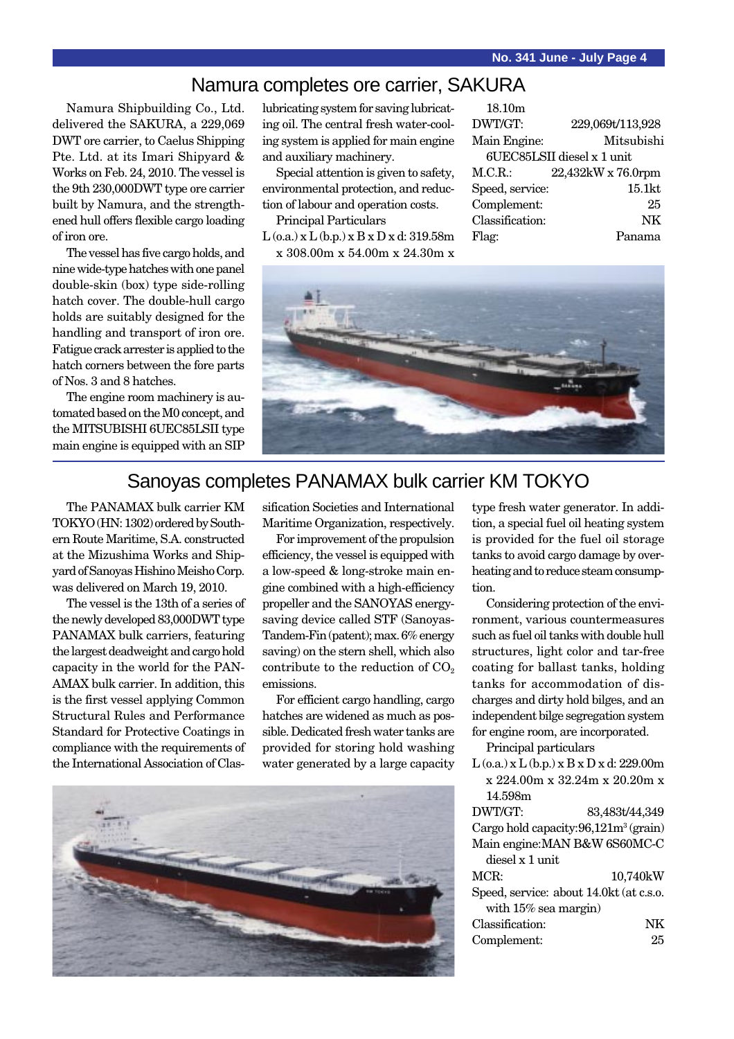### Namura completes ore carrier, SAKURA

Namura Shipbuilding Co., Ltd. delivered the SAKURA, a 229,069 DWT ore carrier, to Caelus Shipping Pte. Ltd. at its Imari Shipyard & Works on Feb. 24, 2010. The vessel is the 9th 230,000DWT type ore carrier built by Namura, and the strengthened hull offers flexible cargo loading of iron ore.

The vessel has five cargo holds, and nine wide-type hatches with one panel double-skin (box) type side-rolling hatch cover. The double-hull cargo holds are suitably designed for the handling and transport of iron ore. Fatigue crack arrester is applied to the hatch corners between the fore parts of Nos. 3 and 8 hatches.

The engine room machinery is automated based on the M0 concept, and the MITSUBISHI 6UEC85LSII type main engine is equipped with an SIP lubricating system for saving lubricating oil. The central fresh water-cooling system is applied for main engine and auxiliary machinery.

Special attention is given to safety, environmental protection, and reduction of labour and operation costs.

Principal Particulars

 $L$  (o.a.)  $x L$  (b.p.)  $x B x D x d$ : 319.58m x 308.00m x 54.00m x 24.30m x

| 18.10 <sub>m</sub> |                            |
|--------------------|----------------------------|
| DWT/GT:            | 229,069t/113,928           |
| Main Engine:       | Mitsubishi                 |
|                    | 6UEC85LSII diesel x 1 unit |
| M.C.R.             | 22,432kW x 76.0rpm         |
| Speed, service:    | 15.1kt                     |
| Complement:        | 25                         |
| Classification:    | NK                         |
| Flag:              | Panama                     |
|                    |                            |



### Sanoyas completes PANAMAX bulk carrier KM TOKYO

The PANAMAX bulk carrier KM TOKYO (HN: 1302) ordered by Southern Route Maritime, S.A. constructed at the Mizushima Works and Shipyard of Sanoyas Hishino Meisho Corp. was delivered on March 19, 2010.

The vessel is the 13th of a series of the newly developed 83,000DWT type PANAMAX bulk carriers, featuring the largest deadweight and cargo hold capacity in the world for the PAN-AMAX bulk carrier. In addition, this is the first vessel applying Common Structural Rules and Performance Standard for Protective Coatings in compliance with the requirements of the International Association of Classification Societies and International Maritime Organization, respectively.

For improvement of the propulsion efficiency, the vessel is equipped with a low-speed & long-stroke main engine combined with a high-efficiency propeller and the SANOYAS energysaving device called STF (Sanoyas-Tandem-Fin (patent); max. 6% energy saving) on the stern shell, which also contribute to the reduction of  $CO<sub>2</sub>$ emissions.

For efficient cargo handling, cargo hatches are widened as much as possible. Dedicated fresh water tanks are provided for storing hold washing water generated by a large capacity



type fresh water generator. In addition, a special fuel oil heating system is provided for the fuel oil storage tanks to avoid cargo damage by overheating and to reduce steam consumption.

Considering protection of the environment, various countermeasures such as fuel oil tanks with double hull structures, light color and tar-free coating for ballast tanks, holding tanks for accommodation of discharges and dirty hold bilges, and an independent bilge segregation system for engine room, are incorporated.

Principal particulars

| $L$ (o.a.) x $L$ (b.p.) x $B$ x $D$ x d: 229.00m |                                          |
|--------------------------------------------------|------------------------------------------|
| x 224.00m x 32.24m x 20.20m x                    |                                          |
| 14.598m                                          |                                          |
| DWT/GT:                                          | 83,483t/44,349                           |
|                                                  | Cargo hold capacity: $96,121m^3$ (grain) |
|                                                  | Main engine: MAN B&W 6S60MC-C            |
| diesel x 1 unit.                                 |                                          |
| MCR:                                             | 10,740kW                                 |
|                                                  | Speed, service: about 14.0kt (at c.s.o.  |
| with $15\%$ sea margin)                          |                                          |
| Classification:                                  | NK                                       |
| Complement:                                      | 25                                       |
|                                                  |                                          |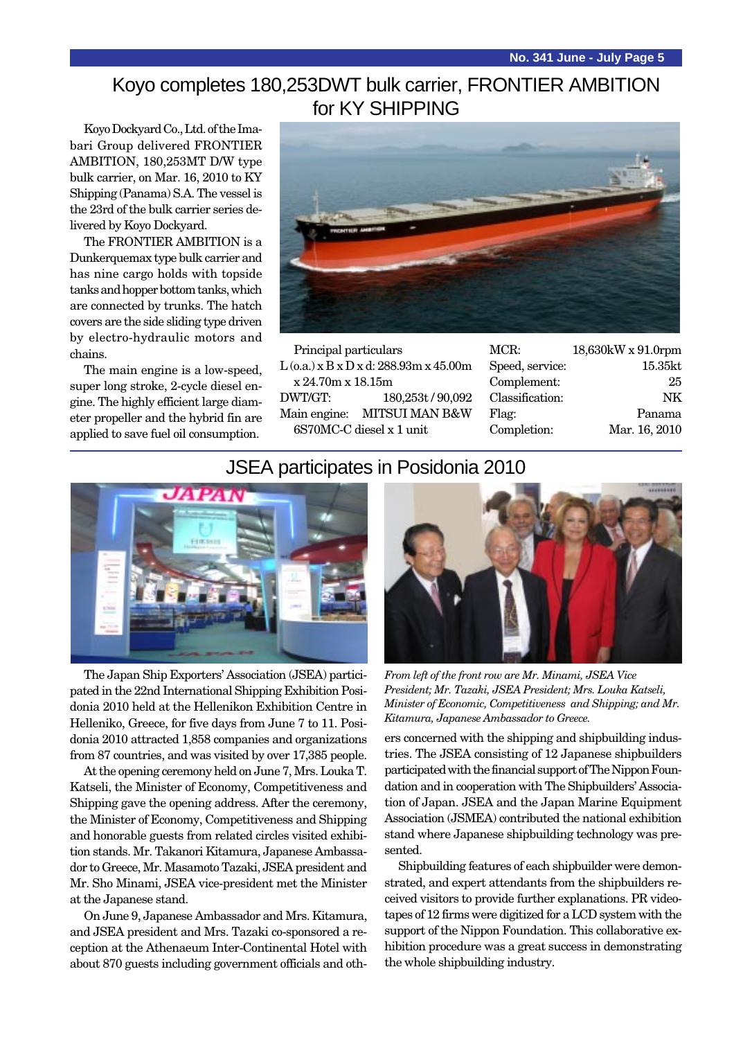# Koyo completes 180,253DWT bulk carrier, FRONTIER AMBITION for KY SHIPPING

Koyo Dockyard Co., Ltd. of the Imabari Group delivered FRONTIER AMBITION, 180,253MT D/W type bulk carrier, on Mar. 16, 2010 to KY Shipping (Panama) S.A. The vessel is the 23rd of the bulk carrier series delivered by Koyo Dockyard.

The FRONTIER AMBITION is a Dunkerquemax type bulk carrier and has nine cargo holds with topside tanks and hopper bottom tanks, which are connected by trunks. The hatch covers are the side sliding type driven by electro-hydraulic motors and chains.

The main engine is a low-speed, super long stroke, 2-cycle diesel engine. The highly efficient large diameter propeller and the hybrid fin are applied to save fuel oil consumption.



Principal particulars L (o.a.) x B x D x d: 288.93m x 45.00m x 24.70m x 18.15m DWT/GT: 180,253t / 90,092 Main engine: MITSUI MAN B&W 6S70MC-C diesel x 1 unit

| 18,630kW x 91.0rpm |
|--------------------|
| 15.35kt            |
| 25                 |
| NK                 |
| Panama             |
| Mar. 16, 2010      |
|                    |

#### JSEA participates in Posidonia 2010



The Japan Ship Exporters' Association (JSEA) participated in the 22nd International Shipping Exhibition Posidonia 2010 held at the Hellenikon Exhibition Centre in Helleniko, Greece, for five days from June 7 to 11. Posidonia 2010 attracted 1,858 companies and organizations from 87 countries, and was visited by over 17,385 people.

At the opening ceremony held on June 7, Mrs. Louka T. Katseli, the Minister of Economy, Competitiveness and Shipping gave the opening address. After the ceremony, the Minister of Economy, Competitiveness and Shipping and honorable guests from related circles visited exhibition stands. Mr. Takanori Kitamura, Japanese Ambassador to Greece, Mr. Masamoto Tazaki, JSEA president and Mr. Sho Minami, JSEA vice-president met the Minister at the Japanese stand.

On June 9, Japanese Ambassador and Mrs. Kitamura, and JSEA president and Mrs. Tazaki co-sponsored a reception at the Athenaeum Inter-Continental Hotel with about 870 guests including government officials and oth-



*From left of the front row are Mr. Minami, JSEA Vice President; Mr. Tazaki, JSEA President; Mrs. Louka Katseli, Minister of Economic, Competitiveness and Shipping; and Mr. Kitamura, Japanese Ambassador to Greece.*

ers concerned with the shipping and shipbuilding industries. The JSEA consisting of 12 Japanese shipbuilders participated with the financial support of The Nippon Foundation and in cooperation with The Shipbuilders' Association of Japan. JSEA and the Japan Marine Equipment Association (JSMEA) contributed the national exhibition stand where Japanese shipbuilding technology was presented.

Shipbuilding features of each shipbuilder were demonstrated, and expert attendants from the shipbuilders received visitors to provide further explanations. PR videotapes of 12 firms were digitized for a LCD system with the support of the Nippon Foundation. This collaborative exhibition procedure was a great success in demonstrating the whole shipbuilding industry.